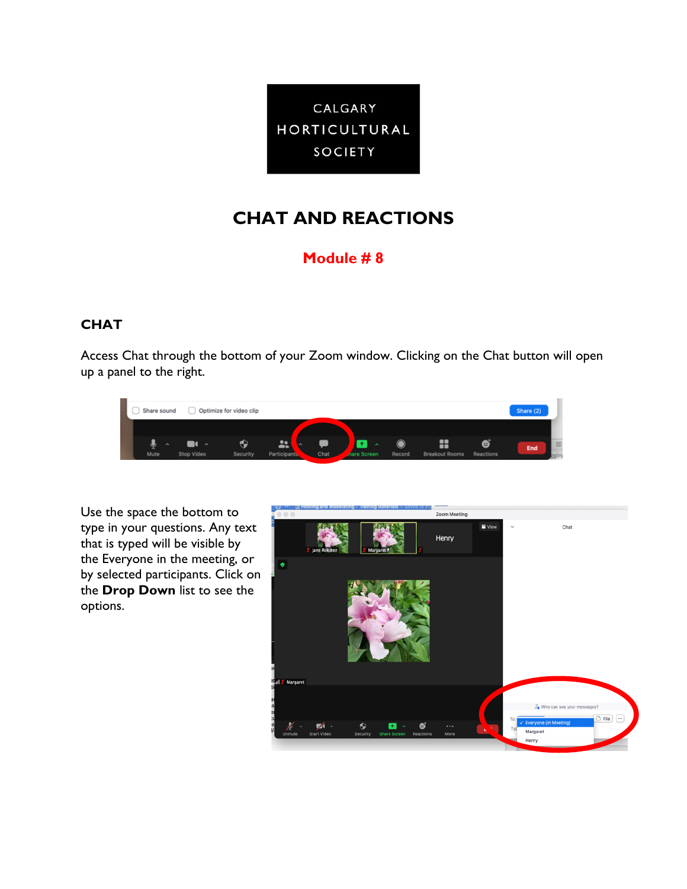

## **CHAT AND REACTIONS**

## **Module # 8**

## **CHAT**

Access Chat through the bottom of your Zoom window. Clicking on the Chat button will open up a panel to the right.



Use the space the bottom to type in your questions. Any text that is typed will be visible by the Everyone in the meeting, or by selected participants. Click on the **Drop Down** list to see the options.

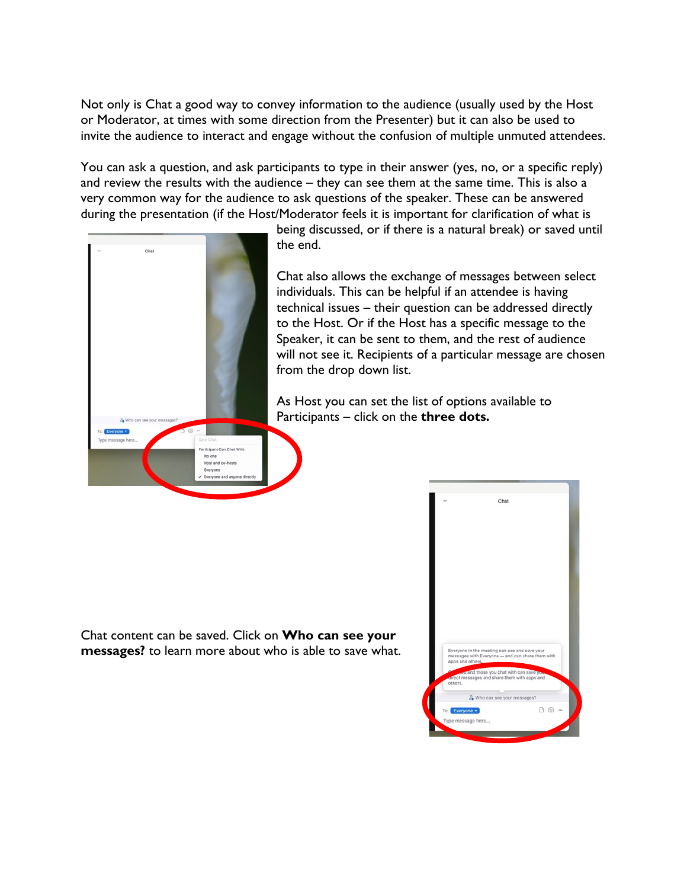Not only is Chat a good way to convey information to the audience (usually used by the Host or Moderator, at times with some direction from the Presenter) but it can also be used to invite the audience to interact and engage without the confusion of multiple unmuted attendees.

You can ask a question, and ask participants to type in their answer (yes, no, or a specific reply) and review the results with the audience – they can see them at the same time. This is also a very common way for the audience to ask questions of the speaker. These can be answered during the presentation (if the Host/Moderator feels it is important for clarification of what is



being discussed, or if there is a natural break) or saved until the end.

Chat also allows the exchange of messages between select individuals. This can be helpful if an attendee is having technical issues – their question can be addressed directly to the Host. Or if the Host has a specific message to the Speaker, it can be sent to them, and the rest of audience will not see it. Recipients of a particular message are chosen from the drop down list.

As Host you can set the list of options available to Participants – click on the **three dots.**

Chat content can be saved. Click on **Who can see your messages?** to learn more about who is able to save what.

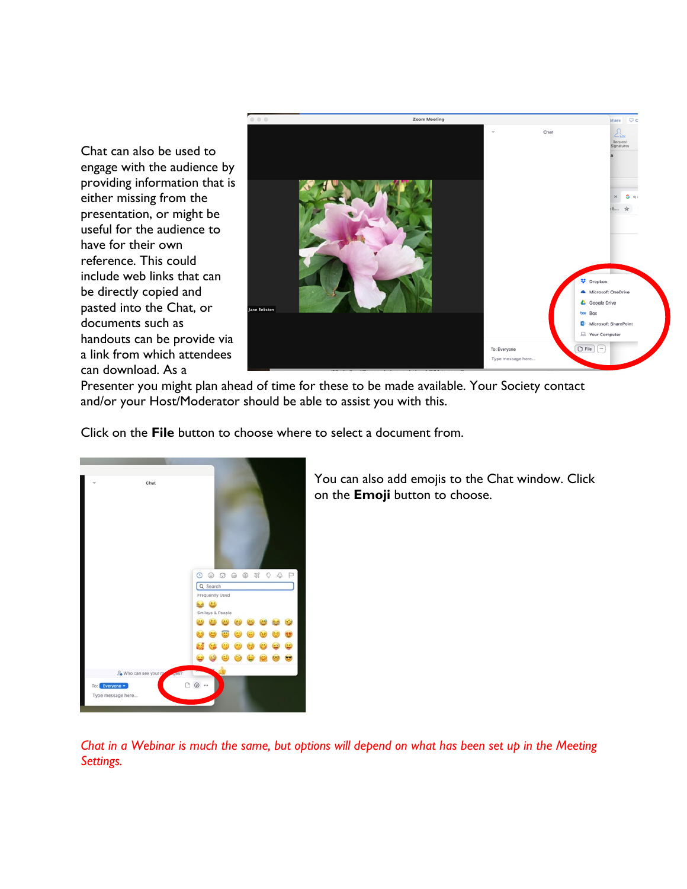Chat can also be used to engage with the audience by providing information that is either missing from the presentation, or might be useful for the audience to have for their own reference. This could include web links that can be directly copied and pasted into the Chat, or documents such as handouts can be provide via a link from which attendees can download. As a



Presenter you might plan ahead of time for these to be made available. Your Society contact and/or your Host/Moderator should be able to assist you with this.

Click on the **File** button to choose where to select a document from.



You can also add emojis to the Chat window. Click on the **Emoji** button to choose.

*Chat in a Webinar is much the same, but options will depend on what has been set up in the Meeting Settings.*